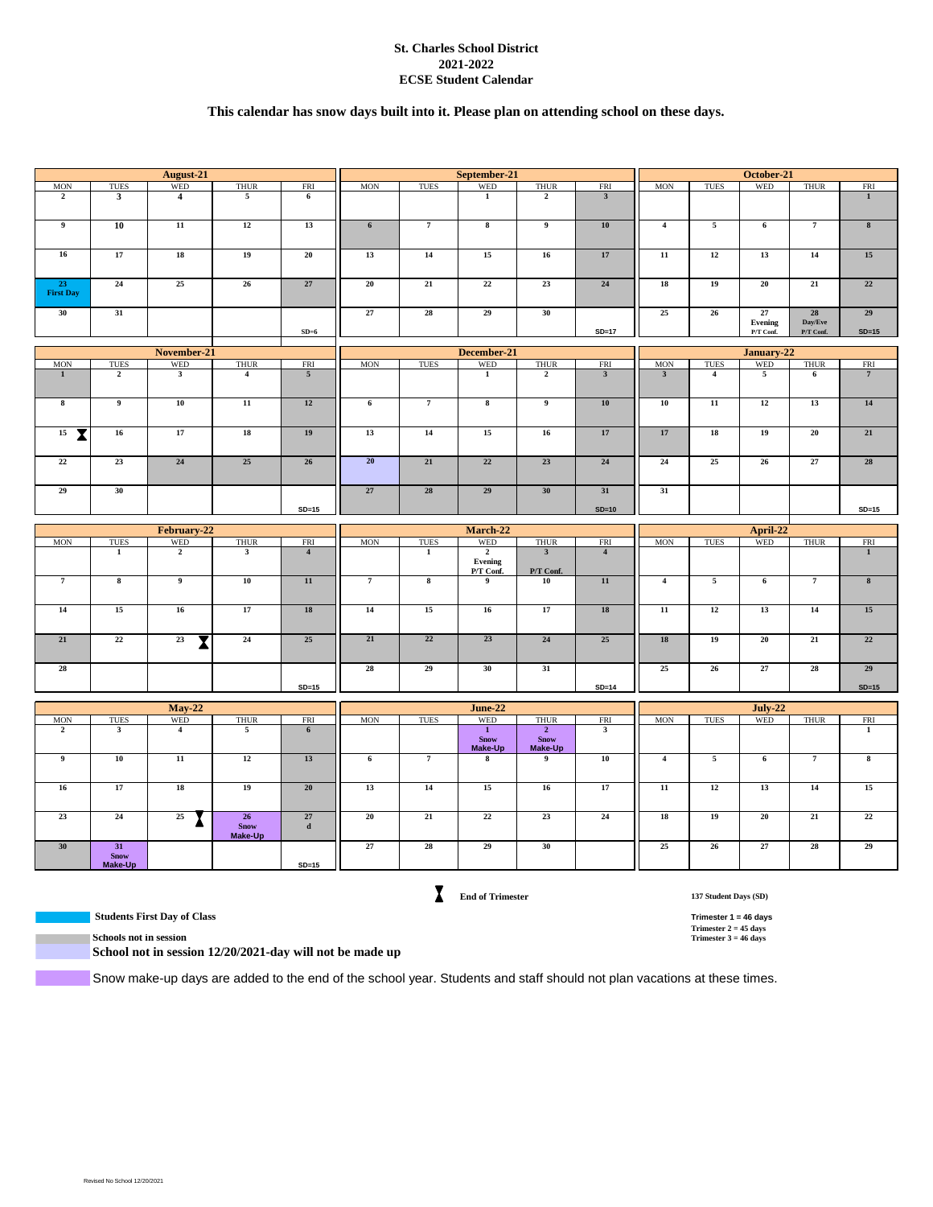### **St. Charles School District 2021-2022 ECSE Student Calendar**

### **This calendar has snow days built into it. Please plan on attending school on these days.**

| <b>WED</b><br><b>WED</b><br><b>MON</b><br><b>TUES</b><br><b>THUR</b><br><b>FRI</b><br><b>MON</b><br><b>TUES</b><br><b>THUR</b><br>$\overline{2}$<br>$\mathbf{3}$<br>5<br>$\mathbf{1}$<br>$\overline{2}$<br>$\overline{4}$<br>6<br>$\overline{9}$<br>10<br>11<br>12<br>13<br>$6\overline{6}$<br>$\overline{7}$<br>$\overline{\mathbf{8}}$<br>$\overline{9}$ | <b>WED</b><br><b>FRI</b><br><b>MON</b><br><b>TUES</b><br><b>THUR</b><br><b>FRI</b><br>$\overline{\mathbf{3}}$<br>$\mathbf{1}$ |
|------------------------------------------------------------------------------------------------------------------------------------------------------------------------------------------------------------------------------------------------------------------------------------------------------------------------------------------------------------|-------------------------------------------------------------------------------------------------------------------------------|
|                                                                                                                                                                                                                                                                                                                                                            |                                                                                                                               |
|                                                                                                                                                                                                                                                                                                                                                            |                                                                                                                               |
|                                                                                                                                                                                                                                                                                                                                                            | 10<br>$\overline{4}$<br>$\overline{\mathbf{5}}$<br>$\overline{7}$<br>$\pmb{8}$<br>6                                           |
| 16<br>17<br>18<br>20<br>13<br>14<br>15<br>19<br>16                                                                                                                                                                                                                                                                                                         | 17<br>12<br>13<br>14<br>15<br>11                                                                                              |
| 24<br>25<br>27<br>20<br>21<br>22<br>23<br>23<br>26<br><b>First Day</b>                                                                                                                                                                                                                                                                                     | 24<br>19<br>20<br>21<br>18<br>22                                                                                              |
| 31<br>27<br>28<br>29<br>30<br>30                                                                                                                                                                                                                                                                                                                           | 25<br>26<br>27<br>28<br>29<br>Evening<br>Day/Eve                                                                              |
| $SD=6$                                                                                                                                                                                                                                                                                                                                                     | $SD=17$<br>P/T Conf.<br>P/T Conf.<br>$SD=15$                                                                                  |
| December-21<br>November-21                                                                                                                                                                                                                                                                                                                                 | January-22                                                                                                                    |
| <b>WED</b><br><b>MON</b><br><b>WED</b><br><b>THUR</b><br><b>MON</b><br><b>TUES</b><br><b>THUR</b><br><b>FRI</b><br><b>TUES</b>                                                                                                                                                                                                                             | <b>WED</b><br><b>FRI</b><br><b>MON</b><br><b>TUES</b><br><b>THUR</b><br>FRI                                                   |
| $\overline{1}$<br>$\overline{2}$<br>$\overline{\mathbf{3}}$<br>$\overline{5}$<br>$\overline{1}$<br>$\overline{2}$<br>$\overline{4}$                                                                                                                                                                                                                        | $\overline{\mathbf{3}}$<br>$\overline{5}$<br>$\overline{7}$<br>$\overline{\mathbf{3}}$<br>$\overline{4}$<br>$6\overline{6}$   |
| $\overline{9}$<br>10<br>$\overline{11}$<br>12<br>$\overline{7}$<br>$\overline{\mathbf{8}}$<br>$\overline{9}$<br>$\overline{\mathbf{8}}$<br>$6\overline{6}$                                                                                                                                                                                                 | 10<br>11<br>12<br>13<br>14<br>10                                                                                              |
| 15<br>15<br>17<br>18<br>19<br>13<br>14<br>$\overline{\mathbf{X}}$<br>16<br>16                                                                                                                                                                                                                                                                              | 17<br>17<br>18<br>19<br>20<br>21                                                                                              |
| 24<br>20<br>21<br>22<br>22<br>23<br>25<br>26<br>23                                                                                                                                                                                                                                                                                                         | 27<br>24<br>25<br>28<br>${\bf 24}$<br>26                                                                                      |
| 30<br>27<br>28<br>29<br>30<br>29                                                                                                                                                                                                                                                                                                                           | 31<br>31                                                                                                                      |
| $SD=15$                                                                                                                                                                                                                                                                                                                                                    | $SD=10$<br>$SD=15$                                                                                                            |
| February-22<br>March-22                                                                                                                                                                                                                                                                                                                                    | April-22                                                                                                                      |
| <b>WED</b><br><b>WED</b><br>TUES<br><b>THUR</b><br><b>FRI</b><br><b>MON</b><br><b>TUES</b><br><b>THUR</b><br><b>MON</b>                                                                                                                                                                                                                                    | <b>WED</b><br><b>THUR</b><br><b>FRI</b><br><b>MON</b><br>TUES<br>FRI                                                          |
| $\overline{2}$<br>$\overline{2}$<br>$\overline{\mathbf{3}}$<br>$\mathbf{1}$<br>$\overline{\mathbf{3}}$<br>$\overline{4}$<br>$\mathbf 1$<br>Evening<br>P/T Conf.<br>P/T Conf.                                                                                                                                                                               | $\overline{4}$<br>$\mathbf{1}$                                                                                                |
| $\overline{\mathbf{8}}$<br>$\overline{9}$<br>11<br>$\overline{7}$<br>$\overline{\mathbf{8}}$<br>$\overline{7}$<br>${\bf 10}$<br>9<br>${\bf 10}$                                                                                                                                                                                                            | 11<br>$\overline{\phantom{a}}$<br>$\overline{7}$<br>$\bf{8}$<br>$\overline{4}$<br>6                                           |
| 15<br>14<br>16<br>17<br>18<br>14<br>15<br>16<br>17                                                                                                                                                                                                                                                                                                         | $\overline{12}$<br>$18\,$<br>$11\,$<br>13<br>14<br>15                                                                         |
| 21<br>22<br>23<br>21<br>22<br>23<br>24<br>25<br>24<br>$\overline{\mathbf{X}}$                                                                                                                                                                                                                                                                              | 25<br>18<br>19<br>20<br>21<br>22                                                                                              |
| 28<br>28<br>29<br>30<br>31                                                                                                                                                                                                                                                                                                                                 | 28<br>25<br>26<br>27<br>29                                                                                                    |
| $SD=15$                                                                                                                                                                                                                                                                                                                                                    | $SD=14$<br>$SD=15$                                                                                                            |
| <b>May-22</b><br><b>June-22</b>                                                                                                                                                                                                                                                                                                                            | July-22                                                                                                                       |
| WED<br><b>MON</b><br><b>TUES</b><br><b>WED</b><br><b>THUR</b><br>FRI<br><b>MON</b><br><b>TUES</b><br><b>THUR</b>                                                                                                                                                                                                                                           | WED<br><b>THUR</b><br>FRI<br><b>MON</b><br><b>TUES</b><br>FRI                                                                 |
| $\overline{2}$<br>$\overline{4}$<br>$\overline{5}$<br>$\overline{1}$<br>$\overline{2}$<br>$\mathbf{3}$<br>6<br><b>Snow</b><br><b>Snow</b><br>Make-Up<br>Make-Up                                                                                                                                                                                            | $\mathbf{3}$<br>$\mathbf{1}$                                                                                                  |
| 10<br>11<br>12<br>13<br>$\overline{9}$<br>$\overline{9}$<br>$6\overline{6}$<br>$\overline{7}$<br>$\bf{8}$                                                                                                                                                                                                                                                  | 10<br>$\overline{4}$<br>$\overline{5}$<br>$6\overline{6}$<br>$\overline{7}$<br>$\overline{\mathbf{8}}$                        |
| 17<br>18<br>19<br>20<br>13<br>14<br>15<br>16<br>16                                                                                                                                                                                                                                                                                                         | 17<br>12<br>13<br>14<br>15<br>11                                                                                              |
| 26<br>27<br>$\overline{21}$<br>$\overline{22}$<br>23<br>24<br>25<br>20<br>23<br><b>Snow</b><br>$\mathbf d$<br>Make-Up                                                                                                                                                                                                                                      | 19<br>$\overline{21}$<br>$\overline{22}$<br>24<br>18<br>20                                                                    |
| 27<br>28<br>29<br>30<br>30<br>31<br><b>Snow</b>                                                                                                                                                                                                                                                                                                            | 25<br>$\overline{26}$<br>27<br>28<br>29                                                                                       |

**End of Trimester**

**137 Student Days (SD)**

 **Students First Day of Class Trimester 1 = 46 days Trimester 2 = 45 days**

**Schools not in session School not in session 12/20/2021-day will not be made up**

Snow make-up days are added to the end of the school year. Students and staff should not plan vacations at these times.